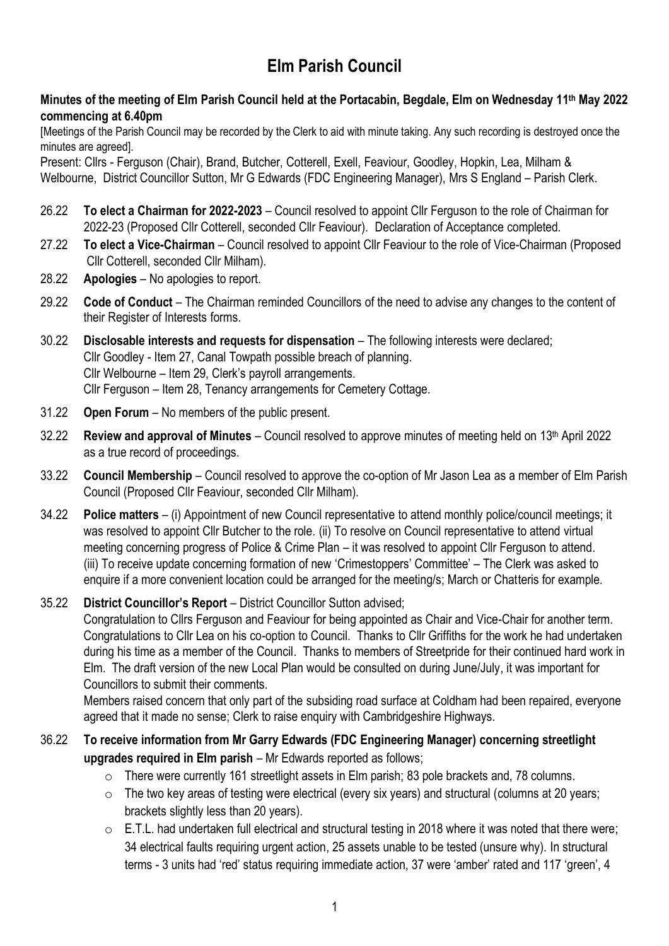# **Elm Parish Council**

## **Minutes of the meeting of Elm Parish Council held at the Portacabin, Begdale, Elm on Wednesday 11 th May 2022 commencing at 6.40pm**

[Meetings of the Parish Council may be recorded by the Clerk to aid with minute taking. Any such recording is destroyed once the minutes are agreed].

Present: Cllrs - Ferguson (Chair), Brand, Butcher, Cotterell, Exell, Feaviour, Goodley, Hopkin, Lea, Milham & Welbourne, District Councillor Sutton, Mr G Edwards (FDC Engineering Manager), Mrs S England – Parish Clerk.

- 26.22 **To elect a Chairman for 2022-2023** Council resolved to appoint Cllr Ferguson to the role of Chairman for 2022-23 (Proposed Cllr Cotterell, seconded Cllr Feaviour). Declaration of Acceptance completed.
- 27.22 **To elect a Vice-Chairman** Council resolved to appoint Cllr Feaviour to the role of Vice-Chairman (Proposed Cllr Cotterell, seconded Cllr Milham).
- 28.22 **Apologies** No apologies to report.
- 29.22 **Code of Conduct** The Chairman reminded Councillors of the need to advise any changes to the content of their Register of Interests forms.
- 30.22 **Disclosable interests and requests for dispensation** The following interests were declared; Cllr Goodley - Item 27, Canal Towpath possible breach of planning. Cllr Welbourne – Item 29, Clerk's payroll arrangements. Cllr Ferguson – Item 28, Tenancy arrangements for Cemetery Cottage.
- 31.22 **Open Forum** No members of the public present.
- 32.22 **Review and approval of Minutes** Council resolved to approve minutes of meeting held on 13th April 2022 as a true record of proceedings.
- 33.22 **Council Membership** Council resolved to approve the co-option of Mr Jason Lea as a member of Elm Parish Council (Proposed Cllr Feaviour, seconded Cllr Milham).
- 34.22 **Police matters** (i) Appointment of new Council representative to attend monthly police/council meetings; it was resolved to appoint Cllr Butcher to the role. (ii) To resolve on Council representative to attend virtual meeting concerning progress of Police & Crime Plan – it was resolved to appoint Cllr Ferguson to attend. (iii) To receive update concerning formation of new 'Crimestoppers' Committee' – The Clerk was asked to enquire if a more convenient location could be arranged for the meeting/s; March or Chatteris for example.

## 35.22 **District Councillor's Report** – District Councillor Sutton advised;

 Congratulation to Cllrs Ferguson and Feaviour for being appointed as Chair and Vice-Chair for another term. Congratulations to Cllr Lea on his co-option to Council. Thanks to Cllr Griffiths for the work he had undertaken during his time as a member of the Council. Thanks to members of Streetpride for their continued hard work in Elm. The draft version of the new Local Plan would be consulted on during June/July, it was important for Councillors to submit their comments.

 Members raised concern that only part of the subsiding road surface at Coldham had been repaired, everyone agreed that it made no sense; Clerk to raise enquiry with Cambridgeshire Highways.

## 36.22 **To receive information from Mr Garry Edwards (FDC Engineering Manager) concerning streetlight upgrades required in Elm parish** – Mr Edwards reported as follows;

- o There were currently 161 streetlight assets in Elm parish; 83 pole brackets and, 78 columns.
- o The two key areas of testing were electrical (every six years) and structural (columns at 20 years; brackets slightly less than 20 years).
- $\circ$  E.T.L. had undertaken full electrical and structural testing in 2018 where it was noted that there were; 34 electrical faults requiring urgent action, 25 assets unable to be tested (unsure why). In structural terms - 3 units had 'red' status requiring immediate action, 37 were 'amber' rated and 117 'green', 4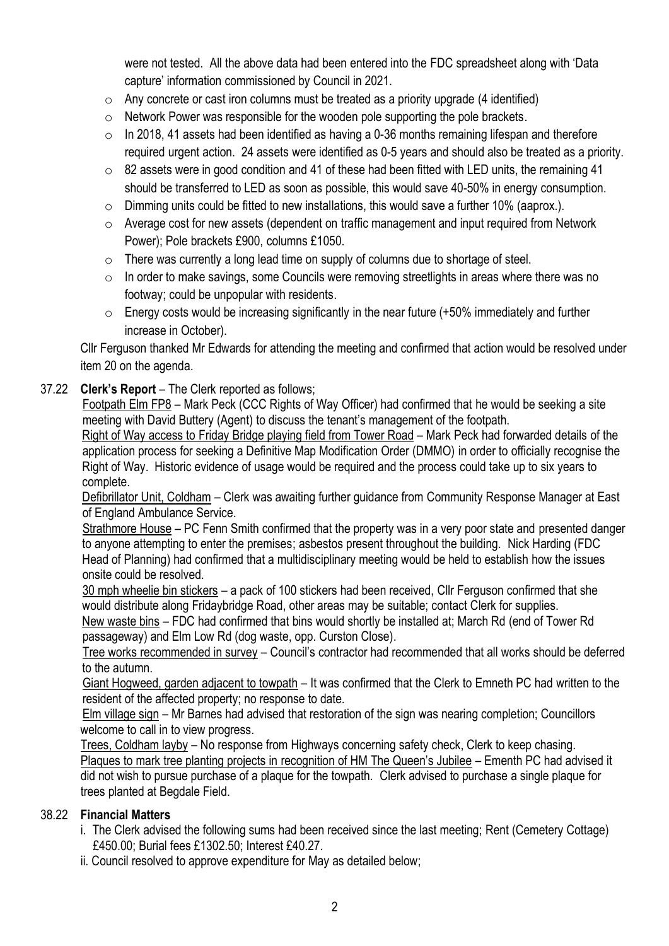were not tested. All the above data had been entered into the FDC spreadsheet along with 'Data capture' information commissioned by Council in 2021.

- $\circ$  Any concrete or cast iron columns must be treated as a priority upgrade (4 identified)
- o Network Power was responsible for the wooden pole supporting the pole brackets.
- $\circ$  In 2018, 41 assets had been identified as having a 0-36 months remaining lifespan and therefore required urgent action. 24 assets were identified as 0-5 years and should also be treated as a priority.
- $\circ$  82 assets were in good condition and 41 of these had been fitted with LED units, the remaining 41 should be transferred to LED as soon as possible, this would save 40-50% in energy consumption.
- $\circ$  Dimming units could be fitted to new installations, this would save a further 10% (aaprox.).
- o Average cost for new assets (dependent on traffic management and input required from Network Power); Pole brackets £900, columns £1050.
- $\circ$  There was currently a long lead time on supply of columns due to shortage of steel.
- o In order to make savings, some Councils were removing streetlights in areas where there was no footway; could be unpopular with residents.
- $\circ$  Energy costs would be increasing significantly in the near future (+50% immediately and further increase in October).

 Cllr Ferguson thanked Mr Edwards for attending the meeting and confirmed that action would be resolved under item 20 on the agenda.

## 37.22 **Clerk's Report** – The Clerk reported as follows;

 Footpath Elm FP8 – Mark Peck (CCC Rights of Way Officer) had confirmed that he would be seeking a site meeting with David Buttery (Agent) to discuss the tenant's management of the footpath.

Right of Way access to Friday Bridge playing field from Tower Road - Mark Peck had forwarded details of the application process for seeking a Definitive Map Modification Order (DMMO) in order to officially recognise the Right of Way. Historic evidence of usage would be required and the process could take up to six years to complete.

 Defibrillator Unit, Coldham – Clerk was awaiting further guidance from Community Response Manager at East of England Ambulance Service.

 Strathmore House – PC Fenn Smith confirmed that the property was in a very poor state and presented danger to anyone attempting to enter the premises; asbestos present throughout the building. Nick Harding (FDC Head of Planning) had confirmed that a multidisciplinary meeting would be held to establish how the issues onsite could be resolved.

 30 mph wheelie bin stickers – a pack of 100 stickers had been received, Cllr Ferguson confirmed that she would distribute along Fridaybridge Road, other areas may be suitable; contact Clerk for supplies.

 New waste bins – FDC had confirmed that bins would shortly be installed at; March Rd (end of Tower Rd passageway) and Elm Low Rd (dog waste, opp. Curston Close).

 Tree works recommended in survey – Council's contractor had recommended that all works should be deferred to the autumn.

 Giant Hogweed, garden adjacent to towpath – It was confirmed that the Clerk to Emneth PC had written to the resident of the affected property; no response to date.

 Elm village sign – Mr Barnes had advised that restoration of the sign was nearing completion; Councillors welcome to call in to view progress.

 Trees, Coldham layby – No response from Highways concerning safety check, Clerk to keep chasing. Plaques to mark tree planting projects in recognition of HM The Queen's Jubilee – Ementh PC had advised it did not wish to pursue purchase of a plaque for the towpath. Clerk advised to purchase a single plaque for trees planted at Begdale Field.

## 38.22 **Financial Matters**

- i. The Clerk advised the following sums had been received since the last meeting; Rent (Cemetery Cottage) £450.00; Burial fees £1302.50; Interest £40.27.
- ii. Council resolved to approve expenditure for May as detailed below;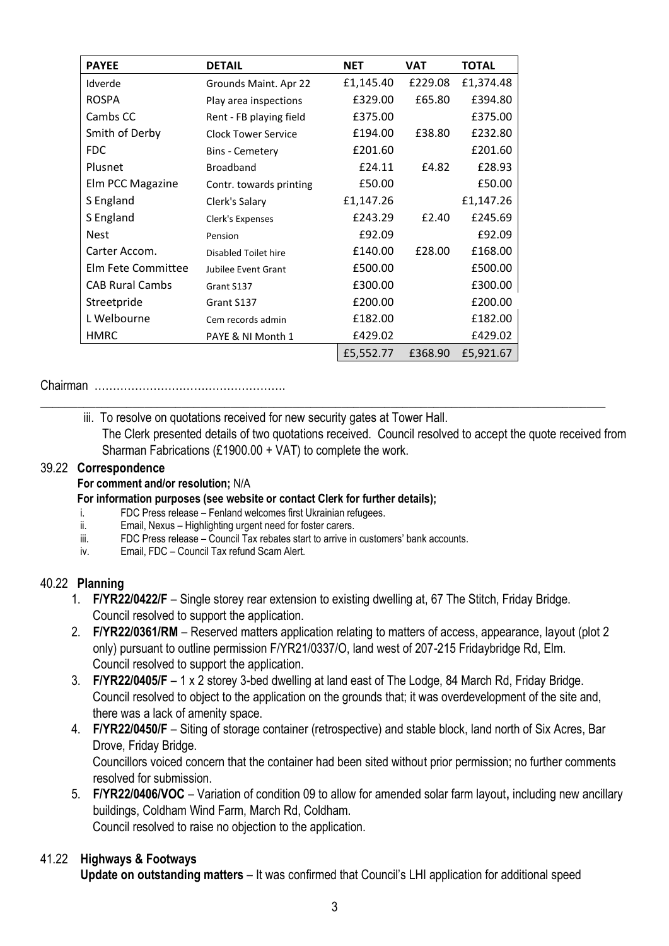| <b>PAYEE</b>           | <b>DETAIL</b>              | <b>NET</b> | <b>VAT</b> | <b>TOTAL</b> |
|------------------------|----------------------------|------------|------------|--------------|
| Idverde                | Grounds Maint. Apr 22      | £1,145.40  | £229.08    | £1,374.48    |
| <b>ROSPA</b>           | Play area inspections      | £329.00    | £65.80     | £394.80      |
| Cambs CC               | Rent - FB playing field    | £375.00    |            | £375.00      |
| Smith of Derby         | <b>Clock Tower Service</b> | £194.00    | £38.80     | £232.80      |
| <b>FDC</b>             | <b>Bins - Cemetery</b>     | £201.60    |            | £201.60      |
| Plusnet                | <b>Broadband</b>           | £24.11     | £4.82      | £28.93       |
| Elm PCC Magazine       | Contr. towards printing    | £50.00     |            | £50.00       |
| S England              | Clerk's Salary             | £1,147.26  |            | £1,147.26    |
| S England              | Clerk's Expenses           | £243.29    | £2.40      | £245.69      |
| <b>Nest</b>            | Pension                    | £92.09     |            | £92.09       |
| Carter Accom.          | Disabled Toilet hire       | £140.00    | £28.00     | £168.00      |
| Elm Fete Committee     | Jubilee Event Grant        | £500.00    |            | £500.00      |
| <b>CAB Rural Cambs</b> | Grant S137                 | £300.00    |            | £300.00      |
| Streetpride            | Grant S137                 | £200.00    |            | £200.00      |
| L Welbourne            | Cem records admin          | £182.00    |            | £182.00      |
| <b>HMRC</b>            | PAYE & NI Month 1          | £429.02    |            | £429.02      |
|                        |                            | £5,552.77  | £368.90    | £5,921.67    |

Chairman …………………………………………….

iii. To resolve on quotations received for new security gates at Tower Hall. The Clerk presented details of two quotations received. Council resolved to accept the quote received from Sharman Fabrications (£1900.00 + VAT) to complete the work.

\_\_\_\_\_\_\_\_\_\_\_\_\_\_\_\_\_\_\_\_\_\_\_\_\_\_\_\_\_\_\_\_\_\_\_\_\_\_\_\_\_\_\_\_\_\_\_\_\_\_\_\_\_\_\_\_\_\_\_\_\_\_\_\_\_\_\_\_\_\_\_\_\_\_\_\_\_\_\_\_\_\_\_\_\_\_\_\_\_\_\_\_

#### 39.22 **Correspondence**

#### **For comment and/or resolution;** N/A

#### **For information purposes (see website or contact Clerk for further details);**

- i. FDC Press release Fenland welcomes first Ukrainian refugees.
- ii. Email, Nexus Highlighting urgent need for foster carers.
- iii. FDC Press release Council Tax rebates start to arrive in customers' bank accounts.
- iv. Email, FDC Council Tax refund Scam Alert.

### 40.22 **Planning**

- 1. **F/YR22/0422/F** Single storey rear extension to existing dwelling at, 67 The Stitch, Friday Bridge. Council resolved to support the application.
- 2. **F/YR22/0361/RM** Reserved matters application relating to matters of access, appearance, layout (plot 2 only) pursuant to outline permission F/YR21/0337/O, land west of 207-215 Fridaybridge Rd, Elm. Council resolved to support the application.
- 3. **F/YR22/0405/F** 1 x 2 storey 3-bed dwelling at land east of The Lodge, 84 March Rd, Friday Bridge. Council resolved to object to the application on the grounds that; it was overdevelopment of the site and, there was a lack of amenity space.
- 4. **F/YR22/0450/F** Siting of storage container (retrospective) and stable block, land north of Six Acres, Bar Drove, Friday Bridge.

 Councillors voiced concern that the container had been sited without prior permission; no further comments resolved for submission.

 5. **F/YR22/0406/VOC** – Variation of condition 09 to allow for amended solar farm layout**,** including new ancillary buildings, Coldham Wind Farm, March Rd, Coldham. Council resolved to raise no objection to the application.

## 41.22 **Highways & Footways**

 **Update on outstanding matters** – It was confirmed that Council's LHI application for additional speed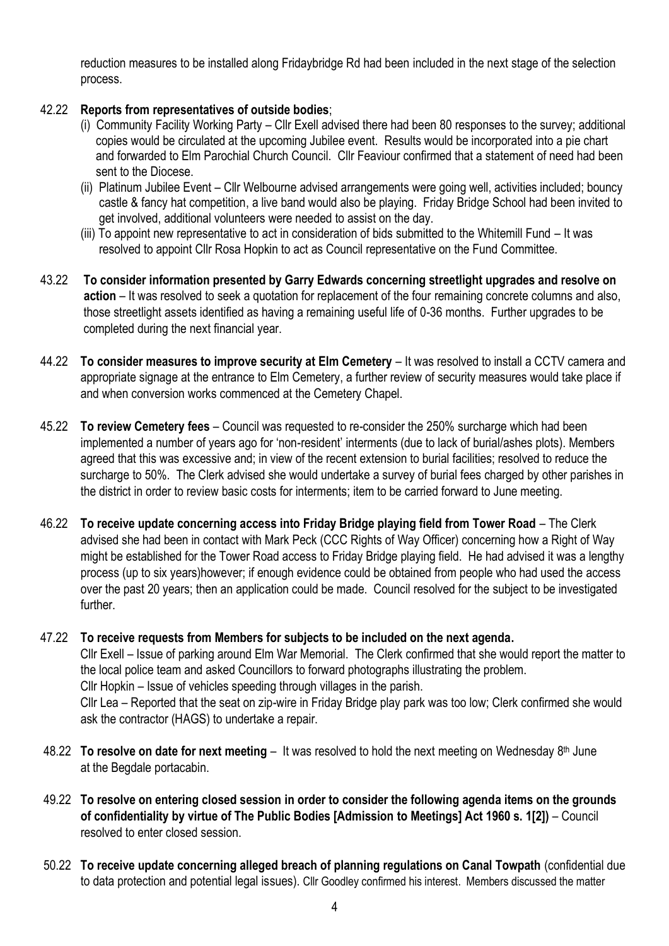reduction measures to be installed along Fridaybridge Rd had been included in the next stage of the selection process.

## 42.22 **Reports from representatives of outside bodies**;

- (i) Community Facility Working Party Cllr Exell advised there had been 80 responses to the survey; additional copies would be circulated at the upcoming Jubilee event. Results would be incorporated into a pie chart and forwarded to Elm Parochial Church Council. Cllr Feaviour confirmed that a statement of need had been sent to the Diocese.
- (ii) Platinum Jubilee Event Cllr Welbourne advised arrangements were going well, activities included; bouncy castle & fancy hat competition, a live band would also be playing. Friday Bridge School had been invited to get involved, additional volunteers were needed to assist on the day.
- (iii) To appoint new representative to act in consideration of bids submitted to the Whitemill Fund It was resolved to appoint Cllr Rosa Hopkin to act as Council representative on the Fund Committee.
- 43.22 **To consider information presented by Garry Edwards concerning streetlight upgrades and resolve on action** – It was resolved to seek a quotation for replacement of the four remaining concrete columns and also, those streetlight assets identified as having a remaining useful life of 0-36 months. Further upgrades to be completed during the next financial year.
- 44.22 **To consider measures to improve security at Elm Cemetery** It was resolved to install a CCTV camera and appropriate signage at the entrance to Elm Cemetery, a further review of security measures would take place if and when conversion works commenced at the Cemetery Chapel.
- 45.22 **To review Cemetery fees** Council was requested to re-consider the 250% surcharge which had been implemented a number of years ago for 'non-resident' interments (due to lack of burial/ashes plots). Members agreed that this was excessive and; in view of the recent extension to burial facilities; resolved to reduce the surcharge to 50%. The Clerk advised she would undertake a survey of burial fees charged by other parishes in the district in order to review basic costs for interments; item to be carried forward to June meeting.
- 46.22 **To receive update concerning access into Friday Bridge playing field from Tower Road** The Clerk advised she had been in contact with Mark Peck (CCC Rights of Way Officer) concerning how a Right of Way might be established for the Tower Road access to Friday Bridge playing field. He had advised it was a lengthy process (up to six years)however; if enough evidence could be obtained from people who had used the access over the past 20 years; then an application could be made. Council resolved for the subject to be investigated further.
- 47.22 **To receive requests from Members for subjects to be included on the next agenda.** Cllr Exell – Issue of parking around Elm War Memorial. The Clerk confirmed that she would report the matter to the local police team and asked Councillors to forward photographs illustrating the problem. Cllr Hopkin – Issue of vehicles speeding through villages in the parish. Cllr Lea – Reported that the seat on zip-wire in Friday Bridge play park was too low; Clerk confirmed she would ask the contractor (HAGS) to undertake a repair.
- 48.22 **To resolve on date for next meeting** It was resolved to hold the next meeting on Wednesday 8 th June at the Begdale portacabin.
- 49.22 **To resolve on entering closed session in order to consider the following agenda items on the grounds of confidentiality by virtue of The Public Bodies [Admission to Meetings] Act 1960 s. 1[2])** – Council resolved to enter closed session.
- 50.22 **To receive update concerning alleged breach of planning regulations on Canal Towpath** (confidential due to data protection and potential legal issues). Cllr Goodley confirmed his interest. Members discussed the matter